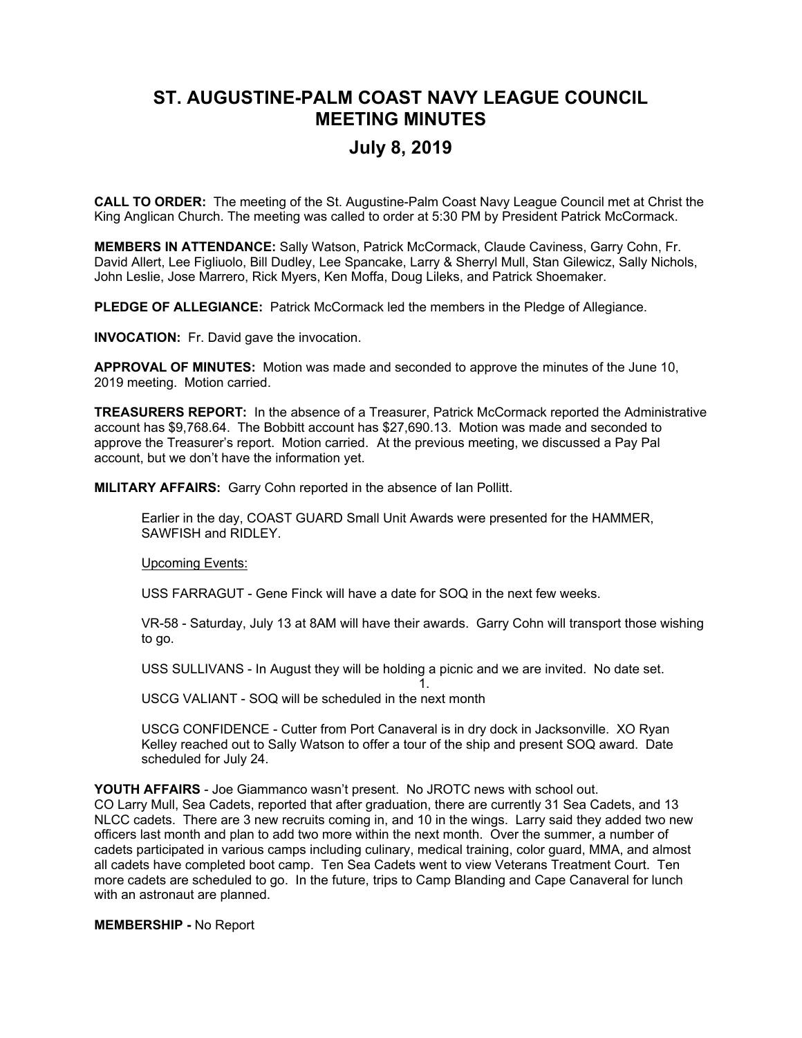## **ST. AUGUSTINE-PALM COAST NAVY LEAGUE COUNCIL MEETING MINUTES**

## **July 8, 2019**

**CALL TO ORDER:** The meeting of the St. Augustine-Palm Coast Navy League Council met at Christ the King Anglican Church. The meeting was called to order at 5:30 PM by President Patrick McCormack.

**MEMBERS IN ATTENDANCE:** Sally Watson, Patrick McCormack, Claude Caviness, Garry Cohn, Fr. David Allert, Lee Figliuolo, Bill Dudley, Lee Spancake, Larry & Sherryl Mull, Stan Gilewicz, Sally Nichols, John Leslie, Jose Marrero, Rick Myers, Ken Moffa, Doug Lileks, and Patrick Shoemaker.

**PLEDGE OF ALLEGIANCE:** Patrick McCormack led the members in the Pledge of Allegiance.

**INVOCATION:** Fr. David gave the invocation.

**APPROVAL OF MINUTES:** Motion was made and seconded to approve the minutes of the June 10, 2019 meeting. Motion carried.

**TREASURERS REPORT:** In the absence of a Treasurer, Patrick McCormack reported the Administrative account has \$9,768.64. The Bobbitt account has \$27,690.13. Motion was made and seconded to approve the Treasurer's report. Motion carried. At the previous meeting, we discussed a Pay Pal account, but we don't have the information yet.

**MILITARY AFFAIRS:** Garry Cohn reported in the absence of Ian Pollitt.

Earlier in the day, COAST GUARD Small Unit Awards were presented for the HAMMER, SAWFISH and RIDLEY.

Upcoming Events:

USS FARRAGUT - Gene Finck will have a date for SOQ in the next few weeks.

VR-58 - Saturday, July 13 at 8AM will have their awards. Garry Cohn will transport those wishing to go.

1.

USS SULLIVANS - In August they will be holding a picnic and we are invited. No date set.

USCG VALIANT - SOQ will be scheduled in the next month

USCG CONFIDENCE - Cutter from Port Canaveral is in dry dock in Jacksonville. XO Ryan Kelley reached out to Sally Watson to offer a tour of the ship and present SOQ award. Date scheduled for July 24.

**YOUTH AFFAIRS** - Joe Giammanco wasn't present. No JROTC news with school out. CO Larry Mull, Sea Cadets, reported that after graduation, there are currently 31 Sea Cadets, and 13 NLCC cadets. There are 3 new recruits coming in, and 10 in the wings. Larry said they added two new officers last month and plan to add two more within the next month. Over the summer, a number of cadets participated in various camps including culinary, medical training, color guard, MMA, and almost all cadets have completed boot camp. Ten Sea Cadets went to view Veterans Treatment Court. Ten more cadets are scheduled to go. In the future, trips to Camp Blanding and Cape Canaveral for lunch with an astronaut are planned.

**MEMBERSHIP -** No Report